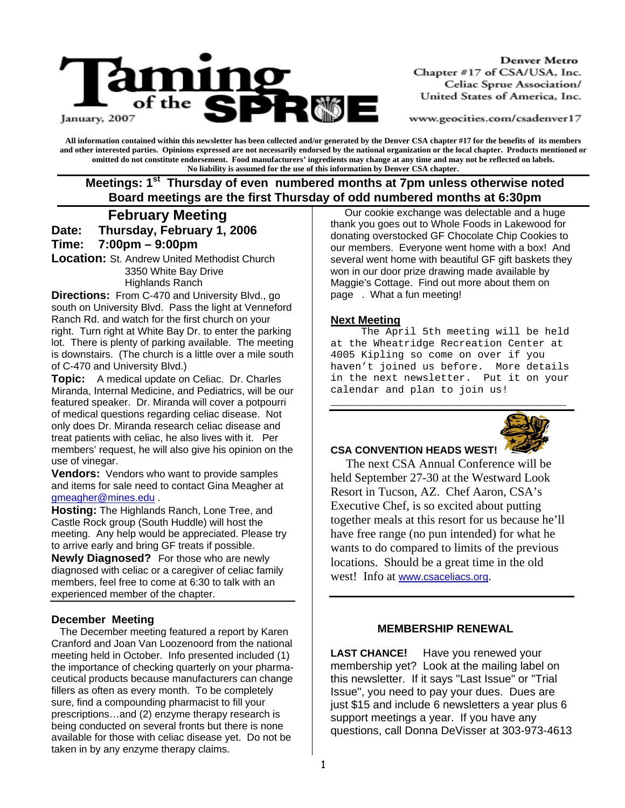

Denver Metro Chapter #17 of CSA/USA, Inc. Celiac Sprue Association/ United States of America, Inc.

www.geocities.com/csadenver17

**All information contained within this newsletter has been collected and/or generated by the Denver CSA chapter #17 for the benefits of its members and other interested parties. Opinions expressed are not necessarily endorsed by the national organization or the local chapter. Products mentioned or omitted do not constitute endorsement. Food manufacturers' ingredients may change at any time and may not be reflected on labels. No liability is assumed for the use of this information by Denver CSA chapter.** 

Meetings: 1<sup>st</sup> Thursday of even numbered months at 7pm unless otherwise noted  **Board meetings are the first Thursday of odd numbered months at 6:30pm**

 **February Meeting** 

**Date: Thursday, February 1, 2006 Time: 7:00pm – 9:00pm** 

**Location:** St. Andrew United Methodist Church 3350 White Bay Drive Highlands Ranch

**Directions:** From C-470 and University Blvd., go south on University Blvd. Pass the light at Venneford Ranch Rd. and watch for the first church on your right. Turn right at White Bay Dr. to enter the parking lot. There is plenty of parking available. The meeting is downstairs. (The church is a little over a mile south of C-470 and University Blvd.)

**Topic:** A medical update on Celiac. Dr. Charles Miranda, Internal Medicine, and Pediatrics, will be our featured speaker. Dr. Miranda will cover a potpourri of medical questions regarding celiac disease. Not only does Dr. Miranda research celiac disease and treat patients with celiac, he also lives with it. Per members' request, he will also give his opinion on the use of vinegar.

**Vendors:** Vendors who want to provide samples and items for sale need to contact Gina Meagher at gmeagher@mines.edu .

**Hosting:** The Highlands Ranch, Lone Tree, and Castle Rock group (South Huddle) will host the meeting. Any help would be appreciated. Please try to arrive early and bring GF treats if possible.

**Newly Diagnosed?** For those who are newly diagnosed with celiac or a caregiver of celiac family members, feel free to come at 6:30 to talk with an experienced member of the chapter.

### **December Meeting**

 The December meeting featured a report by Karen Cranford and Joan Van Loozenoord from the national meeting held in October. Info presented included (1) the importance of checking quarterly on your pharmaceutical products because manufacturers can change fillers as often as every month. To be completely sure, find a compounding pharmacist to fill your prescriptions…and (2) enzyme therapy research is being conducted on several fronts but there is none available for those with celiac disease yet. Do not be taken in by any enzyme therapy claims.

 Our cookie exchange was delectable and a huge thank you goes out to Whole Foods in Lakewood for donating overstocked GF Chocolate Chip Cookies to our members. Everyone went home with a box! And several went home with beautiful GF gift baskets they won in our door prize drawing made available by Maggie's Cottage. Find out more about them on page . What a fun meeting!

### **Next Meeting**

 The April 5th meeting will be held at the Wheatridge Recreation Center at 4005 Kipling so come on over if you haven't joined us before. More details in the next newsletter. Put it on your calendar and plan to join us!

**\_\_\_\_\_\_\_\_\_\_\_\_\_\_\_\_\_\_\_\_\_\_\_\_\_\_\_\_\_\_\_\_\_\_\_** 



### **CSA CONVENTION HEADS WEST!**

 The next CSA Annual Conference will be held September 27-30 at the Westward Look Resort in Tucson, AZ. Chef Aaron, CSA's Executive Chef, is so excited about putting together meals at this resort for us because he'll have free range (no pun intended) for what he wants to do compared to limits of the previous locations. Should be a great time in the old west! Info at www.csaceliacs.org.

### **MEMBERSHIP RENEWAL**

**LAST CHANCE!** Have you renewed your membership yet? Look at the mailing label on this newsletter. If it says "Last Issue" or "Trial Issue", you need to pay your dues. Dues are just \$15 and include 6 newsletters a year plus 6 support meetings a year. If you have any questions, call Donna DeVisser at 303-973-4613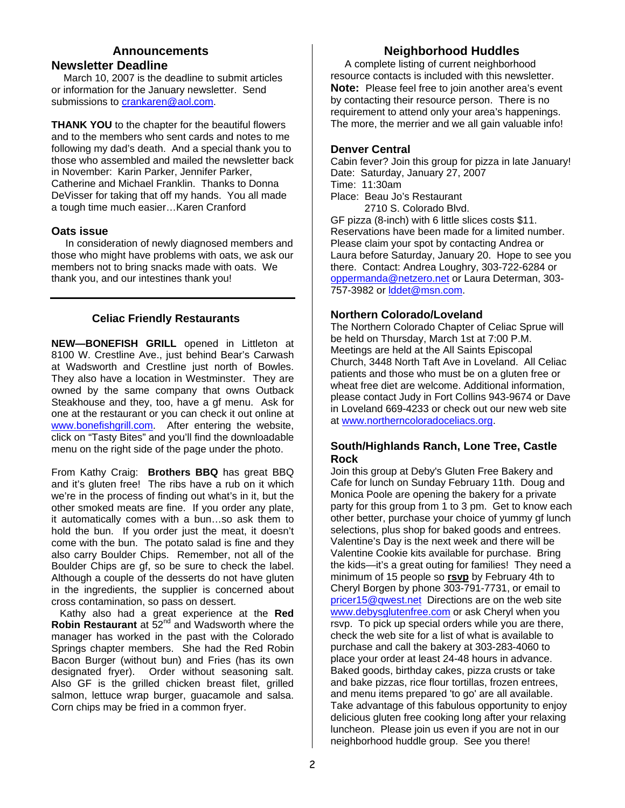### **Announcements Newsletter Deadline**

March 10, 2007 is the deadline to submit articles or information for the January newsletter. Send submissions to crankaren@aol.com.

**THANK YOU** to the chapter for the beautiful flowers and to the members who sent cards and notes to me following my dad's death. And a special thank you to those who assembled and mailed the newsletter back in November: Karin Parker, Jennifer Parker, Catherine and Michael Franklin. Thanks to Donna DeVisser for taking that off my hands. You all made a tough time much easier…Karen Cranford

### **Oats issue**

In consideration of newly diagnosed members and those who might have problems with oats, we ask our members not to bring snacks made with oats. We thank you, and our intestines thank you!

## **Celiac Friendly Restaurants**

**NEW—BONEFISH GRILL** opened in Littleton at 8100 W. Crestline Ave., just behind Bear's Carwash at Wadsworth and Crestline just north of Bowles. They also have a location in Westminster. They are owned by the same company that owns Outback Steakhouse and they, too, have a gf menu. Ask for one at the restaurant or you can check it out online at www.bonefishgrill.com. After entering the website, click on "Tasty Bites" and you'll find the downloadable menu on the right side of the page under the photo.

From Kathy Craig: **Brothers BBQ** has great BBQ and it's gluten free! The ribs have a rub on it which we're in the process of finding out what's in it, but the other smoked meats are fine. If you order any plate, it automatically comes with a bun…so ask them to hold the bun. If you order just the meat, it doesn't come with the bun. The potato salad is fine and they also carry Boulder Chips. Remember, not all of the Boulder Chips are gf, so be sure to check the label. Although a couple of the desserts do not have gluten in the ingredients, the supplier is concerned about cross contamination, so pass on dessert.

 Kathy also had a great experience at the **Red Robin Restaurant** at 52nd and Wadsworth where the manager has worked in the past with the Colorado Springs chapter members. She had the Red Robin Bacon Burger (without bun) and Fries (has its own designated fryer). Order without seasoning salt. Also GF is the grilled chicken breast filet, grilled salmon, lettuce wrap burger, guacamole and salsa. Corn chips may be fried in a common fryer.

# **Neighborhood Huddles**

 A complete listing of current neighborhood resource contacts is included with this newsletter. **Note:** Please feel free to join another area's event by contacting their resource person. There is no requirement to attend only your area's happenings. The more, the merrier and we all gain valuable info!

## **Denver Central**

Cabin fever? Join this group for pizza in late January! Date: Saturday, January 27, 2007 Time: 11:30am Place: Beau Jo's Restaurant 2710 S. Colorado Blvd. GF pizza (8-inch) with 6 little slices costs \$11. Reservations have been made for a limited number. Please claim your spot by contacting Andrea or Laura before Saturday, January 20. Hope to see you there. Contact: Andrea Loughry, 303-722-6284 or oppermanda@netzero.net or Laura Determan, 303- 757-3982 or Iddet@msn.com.

## **Northern Colorado/Loveland**

The Northern Colorado Chapter of Celiac Sprue will be held on Thursday, March 1st at 7:00 P.M. Meetings are held at the All Saints Episcopal Church, 3448 North Taft Ave in Loveland. All Celiac patients and those who must be on a gluten free or wheat free diet are welcome. Additional information, please contact Judy in Fort Collins 943-9674 or Dave in Loveland 669-4233 or check out our new web site at www.northerncoloradoceliacs.org.

### **South/Highlands Ranch, Lone Tree, Castle Rock**

Join this group at Deby's Gluten Free Bakery and Cafe for lunch on Sunday February 11th. Doug and Monica Poole are opening the bakery for a private party for this group from 1 to 3 pm. Get to know each other better, purchase your choice of yummy gf lunch selections, plus shop for baked goods and entrees. Valentine's Day is the next week and there will be Valentine Cookie kits available for purchase. Bring the kids—it's a great outing for families! They need a minimum of 15 people so **rsvp** by February 4th to Cheryl Borgen by phone 303-791-7731, or email to pricer15@qwest.net Directions are on the web site www.debysglutenfree.com or ask Cheryl when you rsvp. To pick up special orders while you are there, check the web site for a list of what is available to purchase and call the bakery at 303-283-4060 to place your order at least 24-48 hours in advance. Baked goods, birthday cakes, pizza crusts or take and bake pizzas, rice flour tortillas, frozen entrees, and menu items prepared 'to go' are all available. Take advantage of this fabulous opportunity to enjoy delicious gluten free cooking long after your relaxing luncheon. Please join us even if you are not in our neighborhood huddle group. See you there!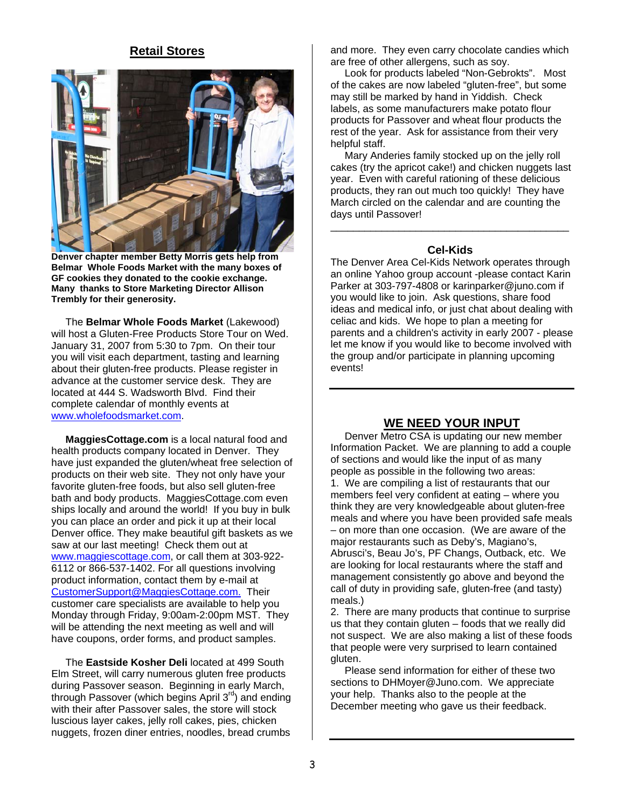## **Retail Stores**



**Denver chapter member Betty Morris gets help from Belmar Whole Foods Market with the many boxes of GF cookies they donated to the cookie exchange. Many thanks to Store Marketing Director Allison Trembly for their generosity.** 

The **Belmar Whole Foods Market** (Lakewood) will host a Gluten-Free Products Store Tour on Wed. January 31, 2007 from 5:30 to 7pm. On their tour you will visit each department, tasting and learning about their gluten-free products. Please register in advance at the customer service desk. They are located at 444 S. Wadsworth Blvd. Find their complete calendar of monthly events at www.wholefoodsmarket.com.

 **MaggiesCottage.com** is a local natural food and health products company located in Denver. They have just expanded the gluten/wheat free selection of products on their web site. They not only have your favorite gluten-free foods, but also sell gluten-free bath and body products. MaggiesCottage.com even ships locally and around the world! If you buy in bulk you can place an order and pick it up at their local Denver office. They make beautiful gift baskets as we saw at our last meeting! Check them out at www.maggiescottage.com, or call them at 303-922- 6112 or 866-537-1402. For all questions involving product information, contact them by e-mail at CustomerSupport@MaggiesCottage.com. Their customer care specialists are available to help you Monday through Friday, 9:00am-2:00pm MST. They will be attending the next meeting as well and will have coupons, order forms, and product samples.

 The **Eastside Kosher Deli** located at 499 South Elm Street, will carry numerous gluten free products during Passover season. Beginning in early March, through Passover (which begins April  $3<sup>rd</sup>$ ) and ending with their after Passover sales, the store will stock luscious layer cakes, jelly roll cakes, pies, chicken nuggets, frozen diner entries, noodles, bread crumbs

and more. They even carry chocolate candies which are free of other allergens, such as soy.

 Look for products labeled "Non-Gebrokts". Most of the cakes are now labeled "gluten-free", but some may still be marked by hand in Yiddish. Check labels, as some manufacturers make potato flour products for Passover and wheat flour products the rest of the year. Ask for assistance from their very helpful staff.

 Mary Anderies family stocked up on the jelly roll cakes (try the apricot cake!) and chicken nuggets last year. Even with careful rationing of these delicious products, they ran out much too quickly! They have March circled on the calendar and are counting the days until Passover!

### **Cel-Kids**

\_\_\_\_\_\_\_\_\_\_\_\_\_\_\_\_\_\_\_\_\_\_\_\_\_\_\_\_\_\_\_\_\_\_\_\_\_\_\_\_\_\_

The Denver Area Cel-Kids Network operates through an online Yahoo group account -please contact Karin Parker at 303-797-4808 or karinparker@juno.com if you would like to join. Ask questions, share food ideas and medical info, or just chat about dealing with celiac and kids. We hope to plan a meeting for parents and a children's activity in early 2007 - please let me know if you would like to become involved with the group and/or participate in planning upcoming events!

# **WE NEED YOUR INPUT**

Denver Metro CSA is updating our new member Information Packet. We are planning to add a couple of sections and would like the input of as many people as possible in the following two areas: 1. We are compiling a list of restaurants that our members feel very confident at eating – where you think they are very knowledgeable about gluten-free meals and where you have been provided safe meals – on more than one occasion. (We are aware of the major restaurants such as Deby's, Magiano's, Abrusci's, Beau Jo's, PF Changs, Outback, etc. We are looking for local restaurants where the staff and management consistently go above and beyond the call of duty in providing safe, gluten-free (and tasty) meals.)

2. There are many products that continue to surprise us that they contain gluten – foods that we really did not suspect. We are also making a list of these foods that people were very surprised to learn contained gluten.

 Please send information for either of these two sections to DHMoyer@Juno.com. We appreciate your help. Thanks also to the people at the December meeting who gave us their feedback.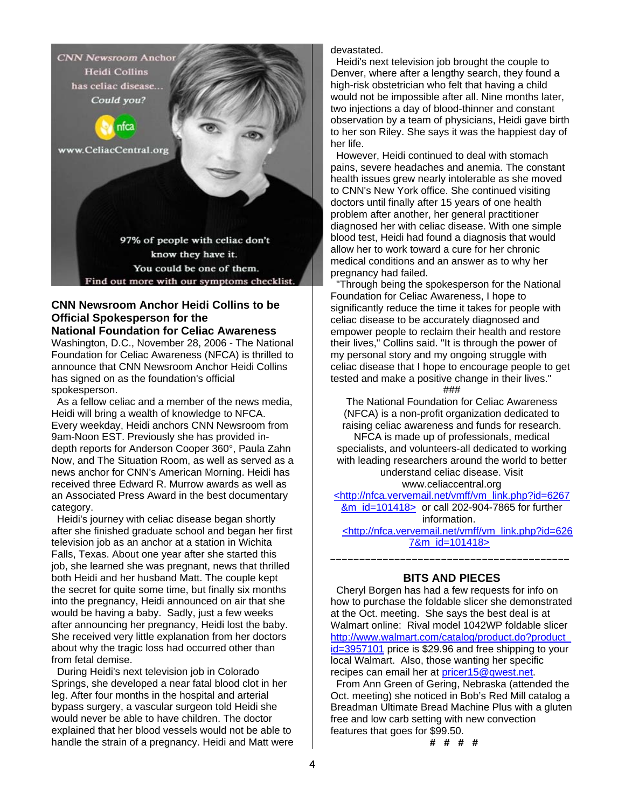**CNN Newsroom Anchor Heidi Collins** has celiac disease... Could you?



www.CeliacCentral.org

97% of people with celiac don't know they have it. You could be one of them. Find out more with our symptoms checklist

## **CNN Newsroom Anchor Heidi Collins to be Official Spokesperson for the**

**National Foundation for Celiac Awareness**

Washington, D.C., November 28, 2006 - The National Foundation for Celiac Awareness (NFCA) is thrilled to announce that CNN Newsroom Anchor Heidi Collins has signed on as the foundation's official spokesperson.

 As a fellow celiac and a member of the news media, Heidi will bring a wealth of knowledge to NFCA. Every weekday, Heidi anchors CNN Newsroom from 9am-Noon EST. Previously she has provided indepth reports for Anderson Cooper 360°, Paula Zahn Now, and The Situation Room, as well as served as a news anchor for CNN's American Morning. Heidi has received three Edward R. Murrow awards as well as an Associated Press Award in the best documentary category.

 Heidi's journey with celiac disease began shortly after she finished graduate school and began her first television job as an anchor at a station in Wichita Falls, Texas. About one year after she started this job, she learned she was pregnant, news that thrilled both Heidi and her husband Matt. The couple kept the secret for quite some time, but finally six months into the pregnancy, Heidi announced on air that she would be having a baby. Sadly, just a few weeks after announcing her pregnancy, Heidi lost the baby. She received very little explanation from her doctors about why the tragic loss had occurred other than from fetal demise.

 During Heidi's next television job in Colorado Springs, she developed a near fatal blood clot in her leg. After four months in the hospital and arterial bypass surgery, a vascular surgeon told Heidi she would never be able to have children. The doctor explained that her blood vessels would not be able to handle the strain of a pregnancy. Heidi and Matt were devastated.

 Heidi's next television job brought the couple to Denver, where after a lengthy search, they found a high-risk obstetrician who felt that having a child would not be impossible after all. Nine months later, two injections a day of blood-thinner and constant observation by a team of physicians, Heidi gave birth to her son Riley. She says it was the happiest day of her life.

 However, Heidi continued to deal with stomach pains, severe headaches and anemia. The constant health issues grew nearly intolerable as she moved to CNN's New York office. She continued visiting doctors until finally after 15 years of one health problem after another, her general practitioner diagnosed her with celiac disease. With one simple blood test, Heidi had found a diagnosis that would allow her to work toward a cure for her chronic medical conditions and an answer as to why her pregnancy had failed.

 "Through being the spokesperson for the National Foundation for Celiac Awareness, I hope to significantly reduce the time it takes for people with celiac disease to be accurately diagnosed and empower people to reclaim their health and restore their lives," Collins said. "It is through the power of my personal story and my ongoing struggle with celiac disease that I hope to encourage people to get tested and make a positive change in their lives."

###

The National Foundation for Celiac Awareness (NFCA) is a non-profit organization dedicated to raising celiac awareness and funds for research. NFCA is made up of professionals, medical specialists, and volunteers-all dedicated to working with leading researchers around the world to better understand celiac disease. Visit www.celiaccentral.org

<http://nfca.vervemail.net/vmff/vm\_link.php?id=6267 &m\_id=101418> or call 202-904-7865 for further information. <http://nfca.vervemail.net/vmff/vm\_link.php?id=626 7&m\_id=101418>

## **BITS AND PIECES**

\_\_\_\_\_\_\_\_\_\_\_\_\_\_\_\_\_\_\_\_\_\_\_\_\_\_\_\_\_\_\_\_\_\_\_\_\_\_\_\_\_

 Cheryl Borgen has had a few requests for info on how to purchase the foldable slicer she demonstrated at the Oct. meeting. She says the best deal is at Walmart online: Rival model 1042WP foldable slicer http://www.walmart.com/catalog/product.do?product\_ id=3957101 price is \$29.96 and free shipping to your local Walmart. Also, those wanting her specific recipes can email her at pricer15@qwest.net.

 From Ann Green of Gering, Nebraska (attended the Oct. meeting) she noticed in Bob's Red Mill catalog a Breadman Ultimate Bread Machine Plus with a gluten free and low carb setting with new convection features that goes for \$99.50.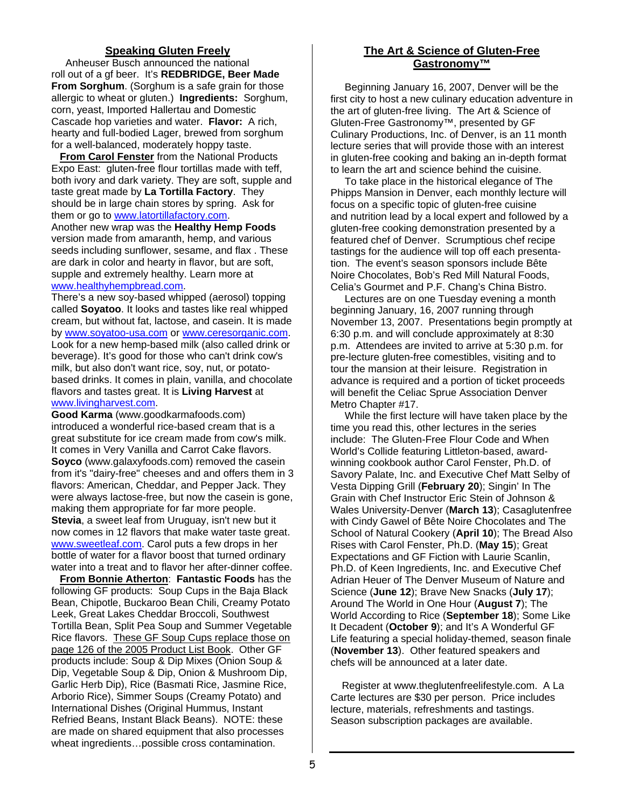### **Speaking Gluten Freely**

 Anheuser Busch announced the national roll out of a gf beer. It's **REDBRIDGE, Beer Made From Sorghum**. (Sorghum is a safe grain for those allergic to wheat or gluten.) **Ingredients:** Sorghum, corn, yeast, Imported Hallertau and Domestic Cascade hop varieties and water. **Flavor:** A rich, hearty and full-bodied Lager, brewed from sorghum for a well-balanced, moderately hoppy taste.

 **From Carol Fenster** from the National Products Expo East: gluten-free flour tortillas made with teff, both ivory and dark variety. They are soft, supple and taste great made by **La Tortilla Factory**. They should be in large chain stores by spring. Ask for them or go to www.latortillafactory.com.

Another new wrap was the **Healthy Hemp Foods** version made from amaranth, hemp, and various seeds including sunflower, sesame, and flax . These are dark in color and hearty in flavor, but are soft, supple and extremely healthy. Learn more at www.healthyhempbread.com.

There's a new soy-based whipped (aerosol) topping called **Soyatoo**. It looks and tastes like real whipped cream, but without fat, lactose, and casein. It is made by www.soyatoo-usa.com or www.ceresorganic.com. Look for a new hemp-based milk (also called drink or beverage). It's good for those who can't drink cow's milk, but also don't want rice, soy, nut, or potatobased drinks. It comes in plain, vanilla, and chocolate flavors and tastes great. It is **Living Harvest** at www.livingharvest.com.

**Good Karma** (www.goodkarmafoods.com) introduced a wonderful rice-based cream that is a great substitute for ice cream made from cow's milk. It comes in Very Vanilla and Carrot Cake flavors. **Soyco** (www.galaxyfoods.com) removed the casein from it's "dairy-free" cheeses and and offers them in 3 flavors: American, Cheddar, and Pepper Jack. They were always lactose-free, but now the casein is gone, making them appropriate for far more people. **Stevia**, a sweet leaf from Uruguay, isn't new but it now comes in 12 flavors that make water taste great. www.sweetleaf.com. Carol puts a few drops in her bottle of water for a flavor boost that turned ordinary water into a treat and to flavor her after-dinner coffee.

 **From Bonnie Atherton**: **Fantastic Foods** has the following GF products: Soup Cups in the Baja Black Bean, Chipotle, Buckaroo Bean Chili, Creamy Potato Leek, Great Lakes Cheddar Broccoli, Southwest Tortilla Bean, Split Pea Soup and Summer Vegetable Rice flavors. These GF Soup Cups replace those on page 126 of the 2005 Product List Book. Other GF products include: Soup & Dip Mixes (Onion Soup & Dip, Vegetable Soup & Dip, Onion & Mushroom Dip, Garlic Herb Dip), Rice (Basmati Rice, Jasmine Rice, Arborio Rice), Simmer Soups (Creamy Potato) and International Dishes (Original Hummus, Instant Refried Beans, Instant Black Beans). NOTE: these are made on shared equipment that also processes wheat ingredients…possible cross contamination.

### **The Art & Science of Gluten-Free Gastronomy™**

 Beginning January 16, 2007, Denver will be the first city to host a new culinary education adventure in the art of gluten-free living. The Art & Science of Gluten-Free Gastronomy™, presented by GF Culinary Productions, Inc. of Denver, is an 11 month lecture series that will provide those with an interest in gluten-free cooking and baking an in-depth format to learn the art and science behind the cuisine.

 To take place in the historical elegance of The Phipps Mansion in Denver, each monthly lecture will focus on a specific topic of gluten-free cuisine and nutrition lead by a local expert and followed by a gluten-free cooking demonstration presented by a featured chef of Denver. Scrumptious chef recipe tastings for the audience will top off each presentation. The event's season sponsors include Bête Noire Chocolates, Bob's Red Mill Natural Foods, Celia's Gourmet and P.F. Chang's China Bistro.

 Lectures are on one Tuesday evening a month beginning January, 16, 2007 running through November 13, 2007. Presentations begin promptly at 6:30 p.m. and will conclude approximately at 8:30 p.m. Attendees are invited to arrive at 5:30 p.m. for pre-lecture gluten-free comestibles, visiting and to tour the mansion at their leisure. Registration in advance is required and a portion of ticket proceeds will benefit the Celiac Sprue Association Denver Metro Chapter #17.

 While the first lecture will have taken place by the time you read this, other lectures in the series include: The Gluten-Free Flour Code and When World's Collide featuring Littleton-based, awardwinning cookbook author Carol Fenster, Ph.D. of Savory Palate, Inc. and Executive Chef Matt Selby of Vesta Dipping Grill (**February 20**); Singin' In The Grain with Chef Instructor Eric Stein of Johnson & Wales University-Denver (**March 13**); Casaglutenfree with Cindy Gawel of Bête Noire Chocolates and The School of Natural Cookery (**April 10**); The Bread Also Rises with Carol Fenster, Ph.D. (**May 15**); Great Expectations and GF Fiction with Laurie Scanlin, Ph.D. of Keen Ingredients, Inc. and Executive Chef Adrian Heuer of The Denver Museum of Nature and Science (**June 12**); Brave New Snacks (**July 17**); Around The World in One Hour (**August 7**); The World According to Rice (**September 18**); Some Like It Decadent (**October 9**); and It's A Wonderful GF Life featuring a special holiday-themed, season finale (**November 13**). Other featured speakers and chefs will be announced at a later date.

 Register at www.theglutenfreelifestyle.com. A La Carte lectures are \$30 per person. Price includes lecture, materials, refreshments and tastings. Season subscription packages are available.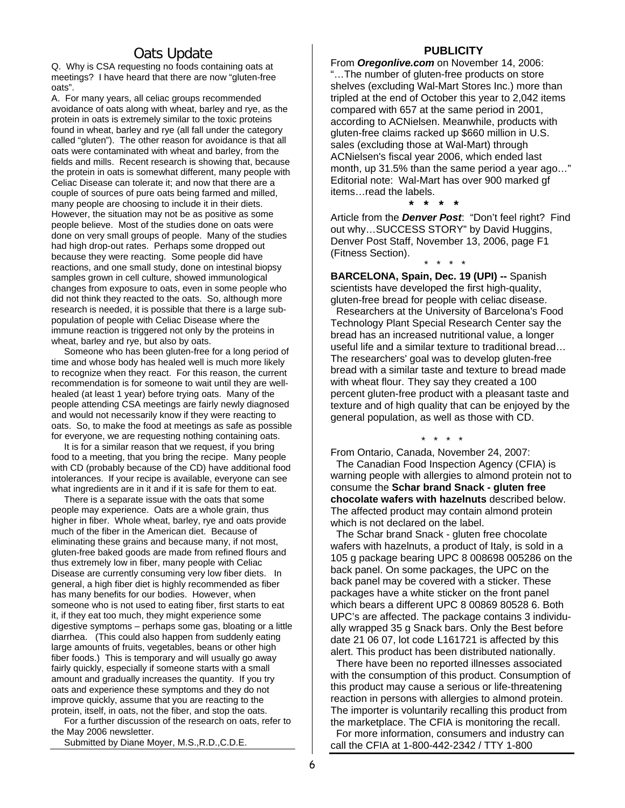# Oats Update

Q. Why is CSA requesting no foods containing oats at meetings? I have heard that there are now "gluten-free oats".

A. For many years, all celiac groups recommended avoidance of oats along with wheat, barley and rye, as the protein in oats is extremely similar to the toxic proteins found in wheat, barley and rye (all fall under the category called "gluten"). The other reason for avoidance is that all oats were contaminated with wheat and barley, from the fields and mills. Recent research is showing that, because the protein in oats is somewhat different, many people with Celiac Disease can tolerate it; and now that there are a couple of sources of pure oats being farmed and milled, many people are choosing to include it in their diets. However, the situation may not be as positive as some people believe. Most of the studies done on oats were done on very small groups of people. Many of the studies had high drop-out rates. Perhaps some dropped out because they were reacting. Some people did have reactions, and one small study, done on intestinal biopsy samples grown in cell culture, showed immunological changes from exposure to oats, even in some people who did not think they reacted to the oats. So, although more research is needed, it is possible that there is a large subpopulation of people with Celiac Disease where the immune reaction is triggered not only by the proteins in wheat, barley and rye, but also by oats.

 Someone who has been gluten-free for a long period of time and whose body has healed well is much more likely to recognize when they react. For this reason, the current recommendation is for someone to wait until they are wellhealed (at least 1 year) before trying oats. Many of the people attending CSA meetings are fairly newly diagnosed and would not necessarily know if they were reacting to oats. So, to make the food at meetings as safe as possible for everyone, we are requesting nothing containing oats.

 It is for a similar reason that we request, if you bring food to a meeting, that you bring the recipe. Many people with CD (probably because of the CD) have additional food intolerances. If your recipe is available, everyone can see what ingredients are in it and if it is safe for them to eat.

 There is a separate issue with the oats that some people may experience. Oats are a whole grain, thus higher in fiber. Whole wheat, barley, rye and oats provide much of the fiber in the American diet. Because of eliminating these grains and because many, if not most, gluten-free baked goods are made from refined flours and thus extremely low in fiber, many people with Celiac Disease are currently consuming very low fiber diets. In general, a high fiber diet is highly recommended as fiber has many benefits for our bodies. However, when someone who is not used to eating fiber, first starts to eat it, if they eat too much, they might experience some digestive symptoms – perhaps some gas, bloating or a little diarrhea. (This could also happen from suddenly eating large amounts of fruits, vegetables, beans or other high fiber foods.) This is temporary and will usually go away fairly quickly, especially if someone starts with a small amount and gradually increases the quantity. If you try oats and experience these symptoms and they do not improve quickly, assume that you are reacting to the protein, itself, in oats, not the fiber, and stop the oats.

 For a further discussion of the research on oats, refer to the May 2006 newsletter.

Submitted by Diane Moyer, M.S.,R.D.,C.D.E.

#### **PUBLICITY**

From *Oregonlive.com* on November 14, 2006: "…The number of gluten-free products on store shelves (excluding Wal-Mart Stores Inc.) more than tripled at the end of October this year to 2,042 items compared with 657 at the same period in 2001, according to ACNielsen. Meanwhile, products with gluten-free claims racked up \$660 million in U.S. sales (excluding those at Wal-Mart) through ACNielsen's fiscal year 2006, which ended last month, up 31.5% than the same period a year ago…" Editorial note: Wal-Mart has over 900 marked gf items…read the labels.

Article from the *Denver Post*: "Don't feel right? Find out why…SUCCESS STORY" by David Huggins, Denver Post Staff, November 13, 2006, page F1 (Fitness Section).

**BARCELONA, Spain, Dec. 19 (UPI) --** Spanish scientists have developed the first high-quality, gluten-free bread for people with celiac disease.

 **\* \* \* \*** 

\* \* \* \*

 Researchers at the University of Barcelona's Food Technology Plant Special Research Center say the bread has an increased nutritional value, a longer useful life and a similar texture to traditional bread… The researchers' goal was to develop gluten-free bread with a similar taste and texture to bread made with wheat flour. They say they created a 100 percent gluten-free product with a pleasant taste and texture and of high quality that can be enjoyed by the general population, as well as those with CD.

From Ontario, Canada, November 24, 2007: The Canadian Food Inspection Agency (CFIA) is warning people with allergies to almond protein not to consume the **Schar brand Snack - gluten free chocolate wafers with hazelnuts** described below. The affected product may contain almond protein which is not declared on the label.

\* \* \* \*

 The Schar brand Snack - gluten free chocolate wafers with hazelnuts, a product of Italy, is sold in a 105 g package bearing UPC 8 008698 005286 on the back panel. On some packages, the UPC on the back panel may be covered with a sticker. These packages have a white sticker on the front panel which bears a different UPC 8 00869 80528 6. Both UPC's are affected. The package contains 3 individually wrapped 35 g Snack bars. Only the Best before date 21 06 07, lot code L161721 is affected by this alert. This product has been distributed nationally.

 There have been no reported illnesses associated with the consumption of this product. Consumption of this product may cause a serious or life-threatening reaction in persons with allergies to almond protein. The importer is voluntarily recalling this product from the marketplace. The CFIA is monitoring the recall.

 For more information, consumers and industry can call the CFIA at 1-800-442-2342 / TTY 1-800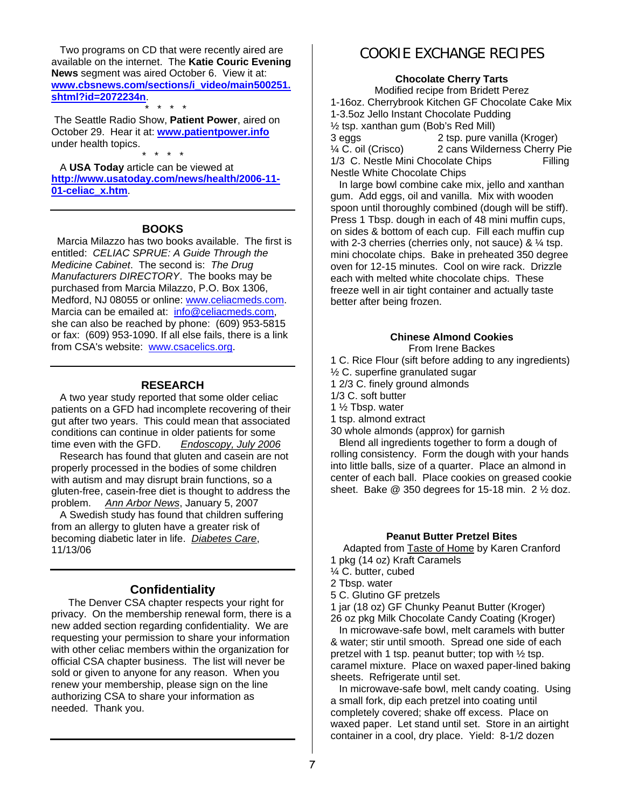Two programs on CD that were recently aired are available on the internet. The **Katie Couric Evening News** segment was aired October 6. View it at: **www.cbsnews.com/sections/i\_video/main500251. shtml?id=2072234n**.

 \* \* \* \* The Seattle Radio Show, **Patient Power**, aired on October 29. Hear it at: **www.patientpower.info** under health topics. \* \* \* \*

 A **USA Today** article can be viewed at **http://www.usatoday.com/news/health/2006-11- 01-celiac\_x.htm**.

#### **BOOKS**

 Marcia Milazzo has two books available. The first is entitled: *CELIAC SPRUE: A Guide Through the Medicine Cabinet*. The second is: *The Drug Manufacturers DIRECTORY*. The books may be purchased from Marcia Milazzo, P.O. Box 1306, Medford, NJ 08055 or online: www.celiacmeds.com. Marcia can be emailed at: info@celiacmeds.com, she can also be reached by phone: (609) 953-5815 or fax: (609) 953-1090. If all else fails, there is a link from CSA's website: www.csacelics.org.

#### **RESEARCH**

 A two year study reported that some older celiac patients on a GFD had incomplete recovering of their gut after two years. This could mean that associated conditions can continue in older patients for some time even with the GFD. *Endoscopy, July 2006*

 Research has found that gluten and casein are not properly processed in the bodies of some children with autism and may disrupt brain functions, so a gluten-free, casein-free diet is thought to address the problem. *Ann Arbor News*, January 5, 2007

 A Swedish study has found that children suffering from an allergy to gluten have a greater risk of becoming diabetic later in life. *Diabetes Care*, 11/13/06

### **Confidentiality**

The Denver CSA chapter respects your right for privacy. On the membership renewal form, there is a new added section regarding confidentiality. We are requesting your permission to share your information with other celiac members within the organization for official CSA chapter business. The list will never be sold or given to anyone for any reason. When you renew your membership, please sign on the line authorizing CSA to share your information as needed. Thank you.

# COOKIE EXCHANGE RECIPES

#### **Chocolate Cherry Tarts**

Modified recipe from Bridett Perez 1-16oz. Cherrybrook Kitchen GF Chocolate Cake Mix 1-3.5oz Jello Instant Chocolate Pudding ½ tsp. xanthan gum (Bob's Red Mill) 3 eggs 2 tsp. pure vanilla (Kroger) ¼ C. oil (Crisco) 2 cans Wilderness Cherry Pie 1/3 C. Nestle Mini Chocolate Chips Filling Nestle White Chocolate Chips

 In large bowl combine cake mix, jello and xanthan gum. Add eggs, oil and vanilla. Mix with wooden spoon until thoroughly combined (dough will be stiff). Press 1 Tbsp. dough in each of 48 mini muffin cups, on sides & bottom of each cup. Fill each muffin cup with 2-3 cherries (cherries only, not sauce) & 1/4 tsp. mini chocolate chips. Bake in preheated 350 degree oven for 12-15 minutes. Cool on wire rack. Drizzle each with melted white chocolate chips. These freeze well in air tight container and actually taste better after being frozen.

### **Chinese Almond Cookies**

From Irene Backes

1 C. Rice Flour (sift before adding to any ingredients)

- ½ C. superfine granulated sugar
- 1 2/3 C. finely ground almonds
- 1/3 C. soft butter

1 ½ Tbsp. water

1 tsp. almond extract

30 whole almonds (approx) for garnish

 Blend all ingredients together to form a dough of rolling consistency. Form the dough with your hands into little balls, size of a quarter. Place an almond in center of each ball. Place cookies on greased cookie sheet. Bake  $@350$  degrees for 15-18 min.  $2\frac{1}{2}$  doz.

### **Peanut Butter Pretzel Bites**

Adapted from Taste of Home by Karen Cranford 1 pkg (14 oz) Kraft Caramels

- ¼ C. butter, cubed
- 2 Tbsp. water
- 5 C. Glutino GF pretzels

1 jar (18 oz) GF Chunky Peanut Butter (Kroger)

26 oz pkg Milk Chocolate Candy Coating (Kroger)

 In microwave-safe bowl, melt caramels with butter & water; stir until smooth. Spread one side of each pretzel with 1 tsp. peanut butter; top with  $\frac{1}{2}$  tsp. caramel mixture. Place on waxed paper-lined baking sheets. Refrigerate until set.

 In microwave-safe bowl, melt candy coating. Using a small fork, dip each pretzel into coating until completely covered; shake off excess. Place on waxed paper. Let stand until set. Store in an airtight container in a cool, dry place. Yield: 8-1/2 dozen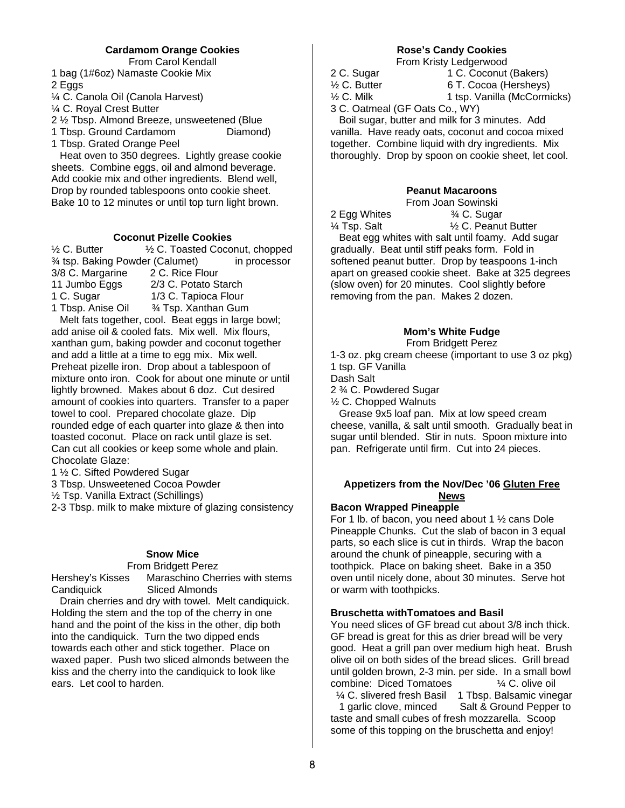## **Cardamom Orange Cookies**

From Carol Kendall

1 bag (1#6oz) Namaste Cookie Mix 2 Eggs

¼ C. Canola Oil (Canola Harvest)

¼ C. Royal Crest Butter

2 ½ Tbsp. Almond Breeze, unsweetened (Blue

1 Tbsp. Ground Cardamom Diamond) 1 Tbsp. Grated Orange Peel

 Heat oven to 350 degrees. Lightly grease cookie sheets. Combine eggs, oil and almond beverage. Add cookie mix and other ingredients. Blend well, Drop by rounded tablespoons onto cookie sheet. Bake 10 to 12 minutes or until top turn light brown.

### **Coconut Pizelle Cookies**

 $\frac{1}{2}$  C. Butter  $\frac{1}{2}$  C. Toasted Coconut, chopped <sup>3/</sup>4 tsp. Baking Powder (Calumet) in processor<br>3/8 C. Margarine 2 C. Rice Flour 3/8 C. Margarine 11 Jumbo Eggs 2/3 C. Potato Starch 1 C. Sugar 1/3 C. Tapioca Flour 1 Tbsp. Anise Oil ¾ Tsp. Xanthan Gum Melt fats together, cool. Beat eggs in large bowl; add anise oil & cooled fats. Mix well. Mix flours, xanthan gum, baking powder and coconut together and add a little at a time to egg mix. Mix well. Preheat pizelle iron. Drop about a tablespoon of mixture onto iron. Cook for about one minute or until lightly browned. Makes about 6 doz. Cut desired amount of cookies into quarters. Transfer to a paper towel to cool. Prepared chocolate glaze. Dip rounded edge of each quarter into glaze & then into toasted coconut. Place on rack until glaze is set.

Can cut all cookies or keep some whole and plain. Chocolate Glaze:

1 ½ C. Sifted Powdered Sugar

3 Tbsp. Unsweetened Cocoa Powder

½ Tsp. Vanilla Extract (Schillings)

2-3 Tbsp. milk to make mixture of glazing consistency

### **Snow Mice**

#### From Bridgett Perez

Hershey's Kisses Maraschino Cherries with stems Candiquick Sliced Almonds

 Drain cherries and dry with towel. Melt candiquick. Holding the stem and the top of the cherry in one hand and the point of the kiss in the other, dip both into the candiquick. Turn the two dipped ends towards each other and stick together. Place on waxed paper. Push two sliced almonds between the kiss and the cherry into the candiquick to look like ears. Let cool to harden.

## **Rose's Candy Cookies**

From Kristy Ledgerwood

2 C. Sugar 1 C. Coconut (Bakers)<br>
1/2 C. Butter 6 T. Cocoa (Hersheys) 6 T. Cocoa (Hersheys) <sup>1/2</sup> C. Milk 1 tsp. Vanilla (McCormicks) 3 C. Oatmeal (GF Oats Co., WY) Boil sugar, butter and milk for 3 minutes. Add

vanilla. Have ready oats, coconut and cocoa mixed together. Combine liquid with dry ingredients. Mix thoroughly. Drop by spoon on cookie sheet, let cool.

### **Peanut Macaroons**

2 Egg Whites <sup>3/4</sup> C. Sugar

From Joan Sowinski

 $\frac{1}{4}$  Tsp. Salt  $\frac{1}{2}$  C. Peanut Butter Beat egg whites with salt until foamy. Add sugar gradually. Beat until stiff peaks form. Fold in softened peanut butter. Drop by teaspoons 1-inch apart on greased cookie sheet. Bake at 325 degrees (slow oven) for 20 minutes. Cool slightly before removing from the pan. Makes 2 dozen.

# **Mom's White Fudge**

From Bridgett Perez

1-3 oz. pkg cream cheese (important to use 3 oz pkg) 1 tsp. GF Vanilla Dash Salt 2 ¾ C. Powdered Sugar

½ C. Chopped Walnuts

 Grease 9x5 loaf pan. Mix at low speed cream cheese, vanilla, & salt until smooth. Gradually beat in sugar until blended. Stir in nuts. Spoon mixture into pan. Refrigerate until firm. Cut into 24 pieces.

### **Appetizers from the Nov/Dec '06 Gluten Free News**

### **Bacon Wrapped Pineapple**

For 1 lb. of bacon, you need about 1  $\frac{1}{2}$  cans Dole Pineapple Chunks. Cut the slab of bacon in 3 equal parts, so each slice is cut in thirds. Wrap the bacon around the chunk of pineapple, securing with a toothpick. Place on baking sheet. Bake in a 350 oven until nicely done, about 30 minutes. Serve hot or warm with toothpicks.

### **Bruschetta withTomatoes and Basil**

You need slices of GF bread cut about 3/8 inch thick. GF bread is great for this as drier bread will be very good. Heat a grill pan over medium high heat. Brush olive oil on both sides of the bread slices. Grill bread until golden brown, 2-3 min. per side. In a small bowl combine: Diced Tomatoes ¼ C. olive oil

 ¼ C. slivered fresh Basil 1 Tbsp. Balsamic vinegar 1 garlic clove, minced Salt & Ground Pepper to taste and small cubes of fresh mozzarella. Scoop some of this topping on the bruschetta and enjoy!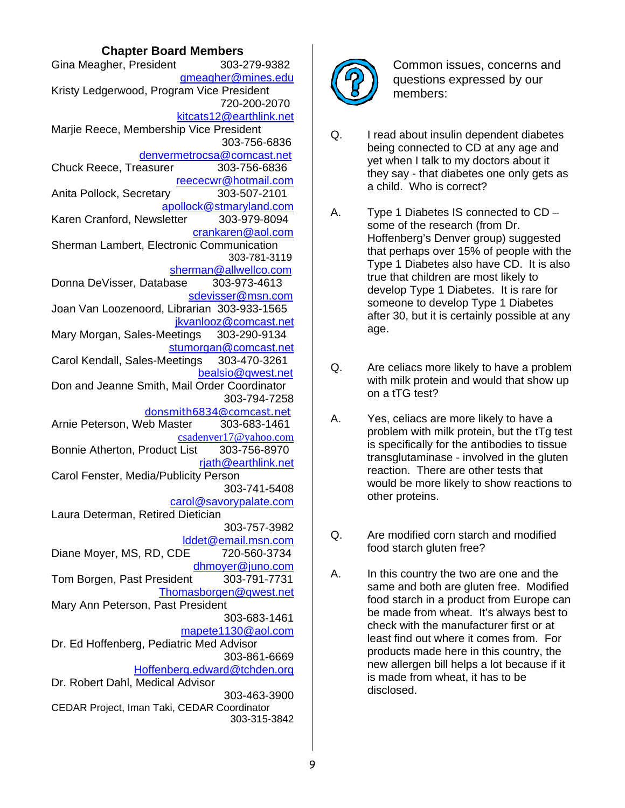# **Chapter Board Members**

| Gina Meagher, President                      | 303-279-9382                 |
|----------------------------------------------|------------------------------|
|                                              | gmeagher@mines.edu           |
| Kristy Ledgerwood, Program Vice President    |                              |
|                                              | 720-200-2070                 |
|                                              | kitcats12@earthlink.net      |
| Marjie Reece, Membership Vice President      | 303-756-6836                 |
|                                              | denvermetrocsa@comcast.net   |
| Chuck Reece, Treasurer                       | 303-756-6836                 |
|                                              | reececwr@hotmail.com         |
| Anita Pollock, Secretary                     | 303-507-2101                 |
|                                              | apollock@stmaryland.com      |
| Karen Cranford, Newsletter 303-979-8094      |                              |
|                                              | crankaren@aol.com            |
| Sherman Lambert, Electronic Communication    |                              |
|                                              | 303-781-3119                 |
|                                              | sherman@allwellco.com        |
| Donna DeVisser, Database 303-973-4613        |                              |
|                                              | sdevisser@msn.com            |
| Joan Van Loozenoord, Librarian 303-933-1565  |                              |
| Mary Morgan, Sales-Meetings 303-290-9134     | jkvanlooz@comcast.net        |
|                                              | stumorgan@comcast.net        |
| Carol Kendall, Sales-Meetings 303-470-3261   |                              |
|                                              | bealsio@gwest.net            |
| Don and Jeanne Smith, Mail Order Coordinator |                              |
|                                              | 303-794-7258                 |
|                                              | donsmith6834@comcast.net     |
| Arnie Peterson, Web Master 303-683-1461      |                              |
|                                              | csadenver17@yahoo.com        |
| Bonnie Atherton, Product List 303-756-8970   |                              |
|                                              | rjath@earthlink.net          |
| Carol Fenster, Media/Publicity Person        |                              |
|                                              | 303-741-5408                 |
| Laura Determan, Retired Dietician            | carol@savorypalate.com       |
|                                              | 303-757-3982                 |
|                                              | Iddet@email.msn.com          |
| Diane Moyer, MS, RD, CDE                     | 720-560-3734                 |
|                                              | dhmoyer@juno.com             |
| Tom Borgen, Past President                   | 303-791-7731                 |
|                                              | Thomasborgen@gwest.net       |
| Mary Ann Peterson, Past President            |                              |
|                                              | 303-683-1461                 |
|                                              | mapete1130@aol.com           |
| Dr. Ed Hoffenberg, Pediatric Med Advisor     |                              |
|                                              | 303-861-6669                 |
|                                              | Hoffenberg.edward@tchden.org |
| Dr. Robert Dahl, Medical Advisor             |                              |
| CEDAR Project, Iman Taki, CEDAR Coordinator  | 303-463-3900                 |
|                                              | 303-315-3842                 |
|                                              |                              |



Common issues, concerns and questions expressed by our members:

- Q. I read about insulin dependent diabetes being connected to CD at any age and yet when I talk to my doctors about it they say - that diabetes one only gets as a child. Who is correct?
- A. Type 1 Diabetes IS connected to CD some of the research (from Dr. Hoffenberg's Denver group) suggested that perhaps over 15% of people with the Type 1 Diabetes also have CD. It is also true that children are most likely to develop Type 1 Diabetes. It is rare for someone to develop Type 1 Diabetes after 30, but it is certainly possible at any age.
- Q. Are celiacs more likely to have a problem with milk protein and would that show up on a tTG test?
- A. Yes, celiacs are more likely to have a problem with milk protein, but the tTg test is specifically for the antibodies to tissue transglutaminase - involved in the gluten reaction. There are other tests that would be more likely to show reactions to other proteins.
- Q. Are modified corn starch and modified food starch gluten free?
- A. In this country the two are one and the same and both are gluten free. Modified food starch in a product from Europe can be made from wheat. It's always best to check with the manufacturer first or at least find out where it comes from. For products made here in this country, the new allergen bill helps a lot because if it is made from wheat, it has to be disclosed.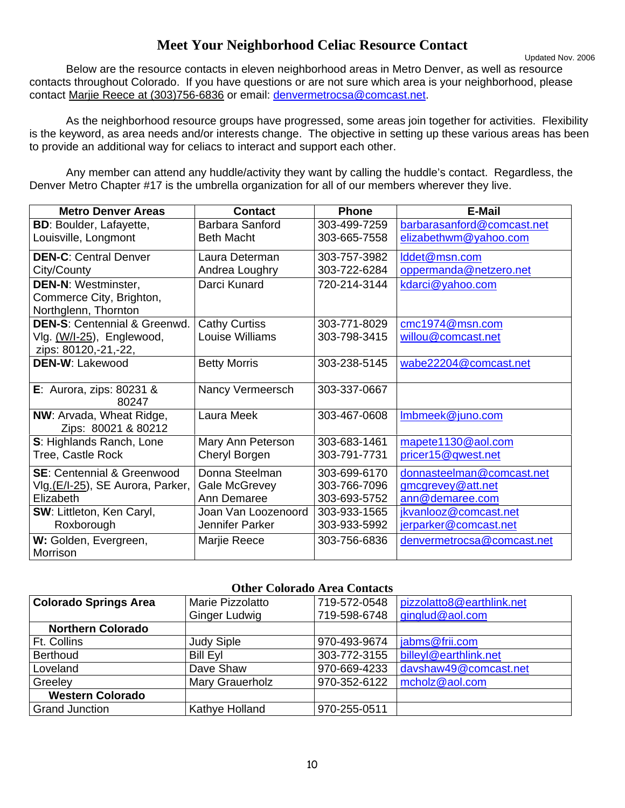# **Meet Your Neighborhood Celiac Resource Contact**

Updated Nov. 2006 Below are the resource contacts in eleven neighborhood areas in Metro Denver, as well as resource contacts throughout Colorado. If you have questions or are not sure which area is your neighborhood, please contact Marjie Reece at (303)756-6836 or email: denvermetrocsa@comcast.net.

 As the neighborhood resource groups have progressed, some areas join together for activities. Flexibility is the keyword, as area needs and/or interests change. The objective in setting up these various areas has been to provide an additional way for celiacs to interact and support each other.

 Any member can attend any huddle/activity they want by calling the huddle's contact. Regardless, the Denver Metro Chapter #17 is the umbrella organization for all of our members wherever they live.

| <b>Metro Denver Areas</b>               | <b>Contact</b>       | <b>Phone</b> | <b>E-Mail</b>              |
|-----------------------------------------|----------------------|--------------|----------------------------|
| <b>BD: Boulder, Lafayette,</b>          | Barbara Sanford      | 303-499-7259 | barbarasanford@comcast.net |
| Louisville, Longmont                    | <b>Beth Macht</b>    | 303-665-7558 | elizabethwm@yahoo.com      |
| <b>DEN-C: Central Denver</b>            | Laura Determan       | 303-757-3982 | lddet@msn.com              |
| City/County                             | Andrea Loughry       | 303-722-6284 | oppermanda@netzero.net     |
| <b>DEN-N: Westminster,</b>              | Darci Kunard         | 720-214-3144 | kdarci@yahoo.com           |
| Commerce City, Brighton,                |                      |              |                            |
| Northglenn, Thornton                    |                      |              |                            |
| <b>DEN-S: Centennial &amp; Greenwd.</b> | <b>Cathy Curtiss</b> | 303-771-8029 | cmc1974@msn.com            |
| Vlg. (W/I-25), Englewood,               | Louise Williams      | 303-798-3415 | willou@comcast.net         |
| zips: 80120,-21,-22,                    |                      |              |                            |
| <b>DEN-W: Lakewood</b>                  | <b>Betty Morris</b>  | 303-238-5145 | wabe22204@comcast.net      |
|                                         |                      |              |                            |
| E: Aurora, zips: $80231$ &              | Nancy Vermeersch     | 303-337-0667 |                            |
| 80247                                   |                      |              |                            |
| NW: Arvada, Wheat Ridge,                | Laura Meek           | 303-467-0608 | Imbmeek@juno.com           |
| Zips: 80021 & 80212                     |                      |              |                            |
| S: Highlands Ranch, Lone                | Mary Ann Peterson    | 303-683-1461 | mapete1130@aol.com         |
| Tree, Castle Rock                       | Cheryl Borgen        | 303-791-7731 | pricer15@qwest.net         |
| <b>SE: Centennial &amp; Greenwood</b>   | Donna Steelman       | 303-699-6170 | donnasteelman@comcast.net  |
| VIg.(E/I-25), SE Aurora, Parker, I      | <b>Gale McGrevey</b> | 303-766-7096 | gmcgrevey@att.net          |
| Elizabeth                               | Ann Demaree          | 303-693-5752 | ann@demaree.com            |
| SW: Littleton, Ken Caryl,               | Joan Van Loozenoord  | 303-933-1565 | jkvanlooz@comcast.net      |
| Roxborough                              | Jennifer Parker      | 303-933-5992 | jerparker@comcast.net      |
| W: Golden, Evergreen,                   | Marjie Reece         | 303-756-6836 | denvermetrocsa@comcast.net |
| Morrison                                |                      |              |                            |

### **Other Colorado Area Contacts**

| <b>Colorado Springs Area</b> | Marie Pizzolatto       | 719-572-0548 | pizzolatto8@earthlink.net |
|------------------------------|------------------------|--------------|---------------------------|
|                              | <b>Ginger Ludwig</b>   | 719-598-6748 | ginglud@aol.com           |
| <b>Northern Colorado</b>     |                        |              |                           |
| Ft. Collins                  | <b>Judy Siple</b>      | 970-493-9674 | jabms@frii.com            |
| <b>Berthoud</b>              | <b>Bill Eyl</b>        | 303-772-3155 | billeyl@earthlink.net     |
| Loveland                     | Dave Shaw              | 970-669-4233 | davshaw49@comcast.net     |
| Greeley                      | <b>Mary Grauerholz</b> | 970-352-6122 | mcholz@aol.com            |
| <b>Western Colorado</b>      |                        |              |                           |
| <b>Grand Junction</b>        | Kathye Holland         | 970-255-0511 |                           |